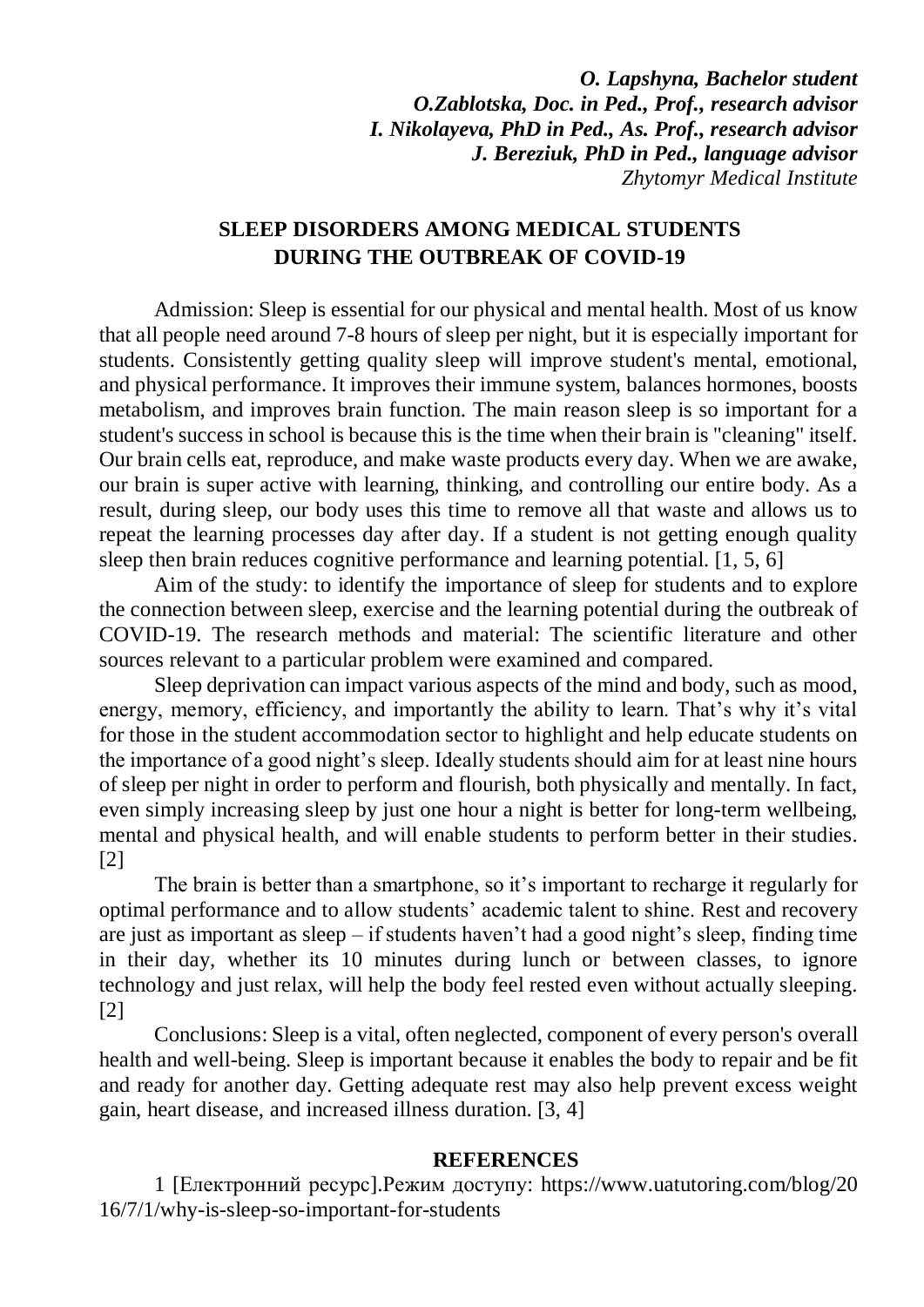*O. Lapshyna, Bachelor student O.Zablotska, Doc. in Ped., Prof., research advisor I. Nikolayeva, PhD in Ped., As. Prof., research advisor J. Bereziuk, PhD in Ped., language advisor Zhytomyr Medical Institute*

## **SLEEP DISORDERS AMONG MEDICAL STUDENTS DURING THE OUTBREAK OF COVID-19**

Admission: Sleep is essential for our physical and mental health. Most of us know that all people need around 7-8 hours of sleep per night, but it is especially important for students. Consistently getting quality sleep will improve student's mental, emotional, and physical performance. It improves their immune system, balances hormones, boosts metabolism, and improves brain function. The main reason sleep is so important for a student's success in school is because this is the time when their brain is "cleaning" itself. Our brain cells eat, reproduce, and make waste products every day. When we are awake, our brain is super active with learning, thinking, and controlling our entire body. As a result, during sleep, our body uses this time to remove all that waste and allows us to repeat the learning processes day after day. If a student is not getting enough quality sleep then brain reduces cognitive performance and learning potential. [1, 5, 6]

Aim of the study: to identify the importance of sleep for students and to explore the connection between sleep, exercise and the learning potential during the outbreak of COVID-19. The research methods and material: The scientific literature and other sources relevant to a particular problem were examined and compared.

Sleep deprivation can impact various aspects of the mind and body, such as mood, energy, memory, efficiency, and importantly the ability to learn. That's why it's vital for those in the student accommodation sector to highlight and help educate students on the importance of a good night's sleep. Ideally students should aim for at least nine hours of sleep per night in order to perform and flourish, both physically and mentally. In fact, even simply increasing sleep by just one hour a night is better for long-term wellbeing, mental and physical health, and will enable students to perform better in their studies. [2]

The brain is better than a smartphone, so it's important to recharge it regularly for optimal performance and to allow students' academic talent to shine. Rest and recovery are just as important as sleep – if students haven't had a good night's sleep, finding time in their day, whether its 10 minutes during lunch or between classes, to ignore technology and just relax, will help the body feel rested even without actually sleeping. [2]

Conclusions: Sleep is a vital, often neglected, component of every person's overall health and well-being. Sleep is important because it enables the body to repair and be fit and ready for another day. Getting adequate rest may also help prevent excess weight gain, heart disease, and increased illness duration. [3, 4]

## **REFERENCES**

1 [Електронний ресурс].Режим доступу: [https://www.uatutoring.com/blog/20](https://www.uatutoring.com/blog/2016/7/1/why-is-sleep-so-important-for-students) [16/7/1/why-is-sleep-so-important-for-students](https://www.uatutoring.com/blog/2016/7/1/why-is-sleep-so-important-for-students)